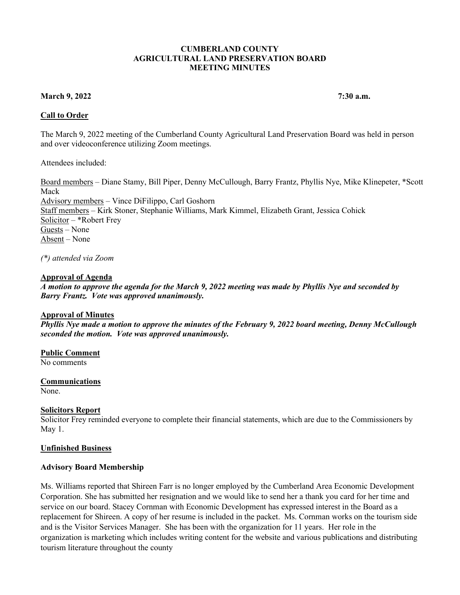#### **CUMBERLAND COUNTY AGRICULTURAL LAND PRESERVATION BOARD MEETING MINUTES**

### **March 9, 2022** 7:30 a.m.

# **Call to Order**

The March 9, 2022 meeting of the Cumberland County Agricultural Land Preservation Board was held in person and over videoconference utilizing Zoom meetings.

Attendees included:

Board members – Diane Stamy, Bill Piper, Denny McCullough, Barry Frantz, Phyllis Nye, Mike Klinepeter, \*Scott Mack Advisory members – Vince DiFilippo, Carl Goshorn Staff members – Kirk Stoner, Stephanie Williams, Mark Kimmel, Elizabeth Grant, Jessica Cohick Solicitor – \*Robert Frey Guests – None Absent – None

*(\*) attended via Zoom* 

### **Approval of Agenda**

*A motion to approve the agenda for the March 9, 2022 meeting was made by Phyllis Nye and seconded by Barry Frantz. Vote was approved unanimously.* 

### **Approval of Minutes**

*Phyllis Nye made a motion to approve the minutes of the February 9, 2022 board meeting, Denny McCullough seconded the motion. Vote was approved unanimously.* 

# **Public Comment**

No comments

# **Communications**

None.

### **Solicitors Report**

Solicitor Frey reminded everyone to complete their financial statements, which are due to the Commissioners by May 1.

### **Unfinished Business**

### **Advisory Board Membership**

Ms. Williams reported that Shireen Farr is no longer employed by the Cumberland Area Economic Development Corporation. She has submitted her resignation and we would like to send her a thank you card for her time and service on our board. Stacey Cornman with Economic Development has expressed interest in the Board as a replacement for Shireen. A copy of her resume is included in the packet. Ms. Cornman works on the tourism side and is the Visitor Services Manager. She has been with the organization for 11 years. Her role in the organization is marketing which includes writing content for the website and various publications and distributing tourism literature throughout the county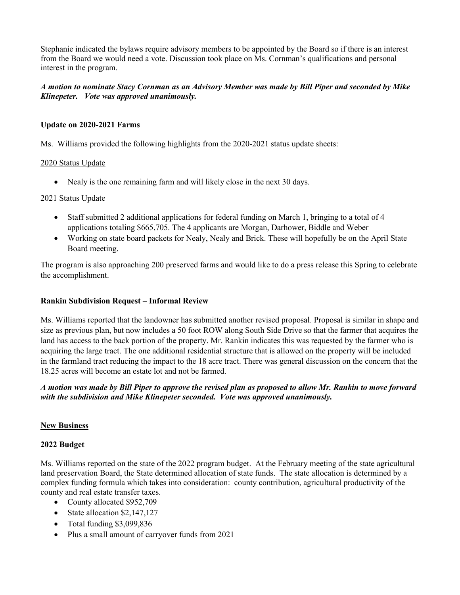Stephanie indicated the bylaws require advisory members to be appointed by the Board so if there is an interest from the Board we would need a vote. Discussion took place on Ms. Cornman's qualifications and personal interest in the program.

# *A motion to nominate Stacy Cornman as an Advisory Member was made by Bill Piper and seconded by Mike Klinepeter. Vote was approved unanimously.*

### **Update on 2020-2021 Farms**

Ms. Williams provided the following highlights from the 2020-2021 status update sheets:

### 2020 Status Update

• Nealy is the one remaining farm and will likely close in the next 30 days.

### 2021 Status Update

- Staff submitted 2 additional applications for federal funding on March 1, bringing to a total of 4 applications totaling \$665,705. The 4 applicants are Morgan, Darhower, Biddle and Weber
- Working on state board packets for Nealy, Nealy and Brick. These will hopefully be on the April State Board meeting.

The program is also approaching 200 preserved farms and would like to do a press release this Spring to celebrate the accomplishment.

### **Rankin Subdivision Request – Informal Review**

Ms. Williams reported that the landowner has submitted another revised proposal. Proposal is similar in shape and size as previous plan, but now includes a 50 foot ROW along South Side Drive so that the farmer that acquires the land has access to the back portion of the property. Mr. Rankin indicates this was requested by the farmer who is acquiring the large tract. The one additional residential structure that is allowed on the property will be included in the farmland tract reducing the impact to the 18 acre tract. There was general discussion on the concern that the 18.25 acres will become an estate lot and not be farmed.

*A motion was made by Bill Piper to approve the revised plan as proposed to allow Mr. Rankin to move forward with the subdivision and Mike Klinepeter seconded. Vote was approved unanimously.* 

# **New Business**

### **2022 Budget**

Ms. Williams reported on the state of the 2022 program budget. At the February meeting of the state agricultural land preservation Board, the State determined allocation of state funds. The state allocation is determined by a complex funding formula which takes into consideration: county contribution, agricultural productivity of the county and real estate transfer taxes.

- County allocated \$952,709
- State allocation \$2,147,127
- Total funding \$3,099,836
- Plus a small amount of carryover funds from 2021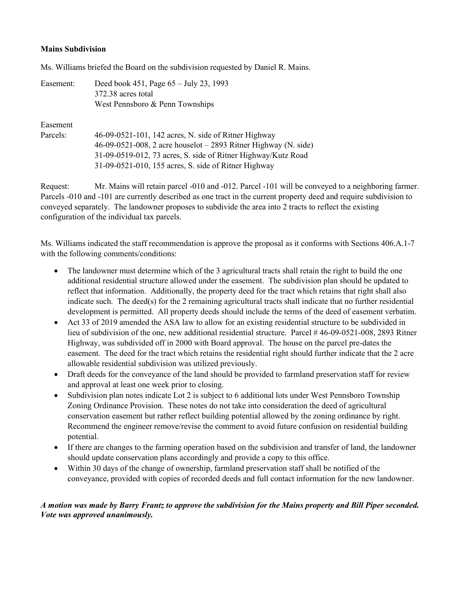### **Mains Subdivision**

Ms. Williams briefed the Board on the subdivision requested by Daniel R. Mains.

| Easement: | Deed book 451, Page $65 - \text{July } 23$ , 1993<br>372.38 acres total<br>West Pennsboro & Penn Townships |
|-----------|------------------------------------------------------------------------------------------------------------|
| Easement  |                                                                                                            |
| Parcels:  | 46-09-0521-101, 142 acres, N. side of Ritner Highway                                                       |
|           | $46-09-0521-008$ , 2 acre houselot $-2893$ Ritner Highway (N. side)                                        |
|           | 31-09-0519-012, 73 acres, S. side of Ritner Highway/Kutz Road                                              |
|           | 31-09-0521-010, 155 acres, S. side of Ritner Highway                                                       |

Request: Mr. Mains will retain parcel -010 and -012. Parcel -101 will be conveyed to a neighboring farmer. Parcels -010 and -101 are currently described as one tract in the current property deed and require subdivision to conveyed separately. The landowner proposes to subdivide the area into 2 tracts to reflect the existing configuration of the individual tax parcels.

Ms. Williams indicated the staff recommendation is approve the proposal as it conforms with Sections 406.A.1-7 with the following comments/conditions:

- The landowner must determine which of the 3 agricultural tracts shall retain the right to build the one additional residential structure allowed under the easement. The subdivision plan should be updated to reflect that information. Additionally, the property deed for the tract which retains that right shall also indicate such. The deed(s) for the 2 remaining agricultural tracts shall indicate that no further residential development is permitted. All property deeds should include the terms of the deed of easement verbatim.
- Act 33 of 2019 amended the ASA law to allow for an existing residential structure to be subdivided in lieu of subdivision of the one, new additional residential structure. Parcel # 46-09-0521-008, 2893 Ritner Highway, was subdivided off in 2000 with Board approval. The house on the parcel pre-dates the easement. The deed for the tract which retains the residential right should further indicate that the 2 acre allowable residential subdivision was utilized previously.
- Draft deeds for the conveyance of the land should be provided to farmland preservation staff for review and approval at least one week prior to closing.
- Subdivision plan notes indicate Lot 2 is subject to 6 additional lots under West Pennsboro Township Zoning Ordinance Provision. These notes do not take into consideration the deed of agricultural conservation easement but rather reflect building potential allowed by the zoning ordinance by right. Recommend the engineer remove/revise the comment to avoid future confusion on residential building potential.
- If there are changes to the farming operation based on the subdivision and transfer of land, the landowner should update conservation plans accordingly and provide a copy to this office.
- Within 30 days of the change of ownership, farmland preservation staff shall be notified of the conveyance, provided with copies of recorded deeds and full contact information for the new landowner.

# *A motion was made by Barry Frantz to approve the subdivision for the Mains property and Bill Piper seconded. Vote was approved unanimously.*